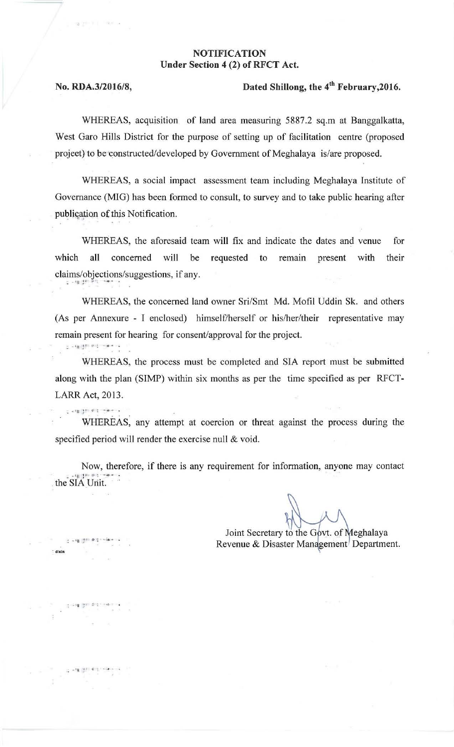## NOTIFICATION Under Section 4 (2) of RFCT Act.

 $\sim$  -  $\sim$  1  $\mu$  in  $\sigma$  is . . .

 $2 - 91$  (40)

.<br>भागा के देखें

\* d/adn

· . :' .: ....

## No. RDA.3/2016/8, Dated Shillong, the 4'h February,2016.

WHEREAS, acquisition of land area measuring 5887.2 sq.m at Banggalkatta, West Garo Hills District for the purpose of setting up of facilitation centre (proposed project) to be constructed/developed by Government of Meghalaya is/are proposed.

WHEREAS, a social impact assessment team including Meghalaya Institute of Governance (MIG) has been formed to consult, to survey and to take public hearing after publication of this Notification.

WHEREAS, the aforesaid team will fix and indicate the dates and venue for which all concerned will be requested to remain present with their claims/objections/suggestions, if any.

WHEREAS, the concerned land owner Sri/Smt Md. Mofil Uddin Sk. and others (As per Annexure - I enclosed) himself/herself or his/her/their representative may remain present for hearing for consent/approval for the project.

WHEREAS. the process must be completed and SIA report must be submitted along with the plan (SIMP) within six months as per the time specified as per RFCT-LARR Act, 2013.

WHEREAS. any attempt at coercion or threat against the process during the specified period will render the exercise null & void.

Now, therefore, if there is any requirement for information, anyone may contact .. the SIA Unit.

Joint Secretary to the Govt. of Meghalaya Revenue & Disaster Management<sup>/</sup> Department.